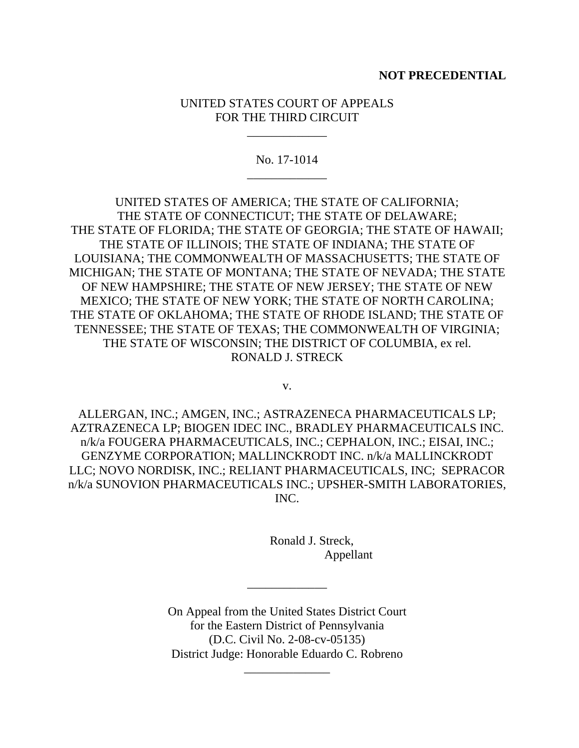## **NOT PRECEDENTIAL**

## UNITED STATES COURT OF APPEALS FOR THE THIRD CIRCUIT

\_\_\_\_\_\_\_\_\_\_\_\_\_

No. 17-1014 \_\_\_\_\_\_\_\_\_\_\_\_\_

UNITED STATES OF AMERICA; THE STATE OF CALIFORNIA; THE STATE OF CONNECTICUT; THE STATE OF DELAWARE; THE STATE OF FLORIDA; THE STATE OF GEORGIA; THE STATE OF HAWAII; THE STATE OF ILLINOIS; THE STATE OF INDIANA; THE STATE OF LOUISIANA; THE COMMONWEALTH OF MASSACHUSETTS; THE STATE OF MICHIGAN; THE STATE OF MONTANA; THE STATE OF NEVADA; THE STATE OF NEW HAMPSHIRE; THE STATE OF NEW JERSEY; THE STATE OF NEW MEXICO; THE STATE OF NEW YORK; THE STATE OF NORTH CAROLINA; THE STATE OF OKLAHOMA; THE STATE OF RHODE ISLAND; THE STATE OF TENNESSEE; THE STATE OF TEXAS; THE COMMONWEALTH OF VIRGINIA; THE STATE OF WISCONSIN; THE DISTRICT OF COLUMBIA, ex rel. RONALD J. STRECK

v.

ALLERGAN, INC.; AMGEN, INC.; ASTRAZENECA PHARMACEUTICALS LP; AZTRAZENECA LP; BIOGEN IDEC INC., BRADLEY PHARMACEUTICALS INC. n/k/a FOUGERA PHARMACEUTICALS, INC.; CEPHALON, INC.; EISAI, INC.; GENZYME CORPORATION; MALLINCKRODT INC. n/k/a MALLINCKRODT LLC; NOVO NORDISK, INC.; RELIANT PHARMACEUTICALS, INC; SEPRACOR n/k/a SUNOVION PHARMACEUTICALS INC.; UPSHER-SMITH LABORATORIES, INC.

> Ronald J. Streck, Appellant

On Appeal from the United States District Court for the Eastern District of Pennsylvania (D.C. Civil No. 2-08-cv-05135) District Judge: Honorable Eduardo C. Robreno

\_\_\_\_\_\_\_\_\_\_\_\_\_\_

\_\_\_\_\_\_\_\_\_\_\_\_\_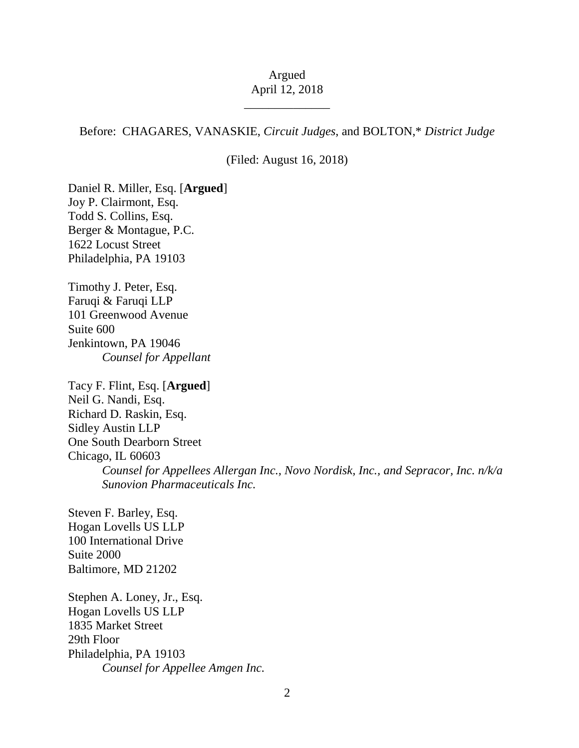## Argued April 12, 2018

\_\_\_\_\_\_\_\_\_\_\_\_\_\_

Before: CHAGARES, VANASKIE, *Circuit Judges*, and BOLTON,\* *District Judge*

(Filed: August 16, 2018)

Daniel R. Miller, Esq. [**Argued**] Joy P. Clairmont, Esq. Todd S. Collins, Esq. Berger & Montague, P.C. 1622 Locust Street Philadelphia, PA 19103

Timothy J. Peter, Esq. Faruqi & Faruqi LLP 101 Greenwood Avenue Suite 600 Jenkintown, PA 19046 *Counsel for Appellant*

Tacy F. Flint, Esq. [**Argued**] Neil G. Nandi, Esq. Richard D. Raskin, Esq. Sidley Austin LLP One South Dearborn Street Chicago, IL 60603 *Counsel for Appellees Allergan Inc., Novo Nordisk, Inc., and Sepracor, Inc. n/k/a Sunovion Pharmaceuticals Inc.*

Steven F. Barley, Esq. Hogan Lovells US LLP 100 International Drive Suite 2000 Baltimore, MD 21202

Stephen A. Loney, Jr., Esq. Hogan Lovells US LLP 1835 Market Street 29th Floor Philadelphia, PA 19103 *Counsel for Appellee Amgen Inc.*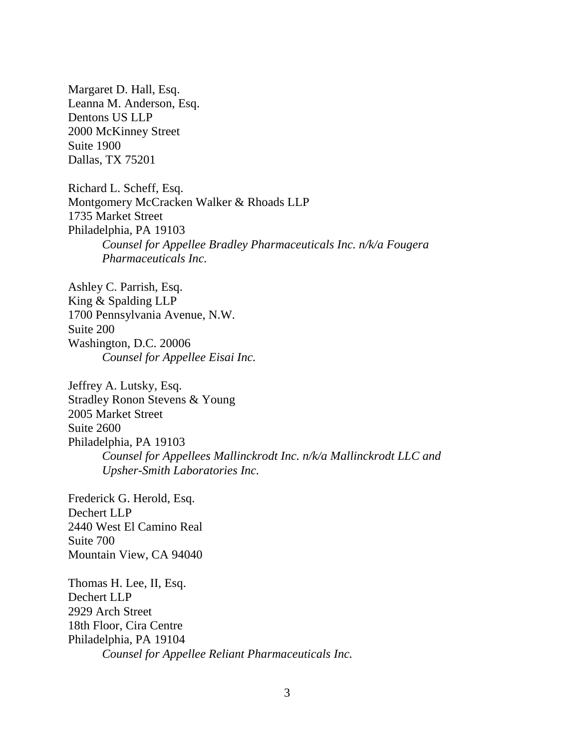Margaret D. Hall, Esq. Leanna M. Anderson, Esq. Dentons US LLP 2000 McKinney Street Suite 1900 Dallas, TX 75201

Richard L. Scheff, Esq. Montgomery McCracken Walker & Rhoads LLP 1735 Market Street Philadelphia, PA 19103 *Counsel for Appellee Bradley Pharmaceuticals Inc. n/k/a Fougera Pharmaceuticals Inc.*

Ashley C. Parrish, Esq. King & Spalding LLP 1700 Pennsylvania Avenue, N.W. Suite 200 Washington, D.C. 20006 *Counsel for Appellee Eisai Inc.*

Jeffrey A. Lutsky, Esq. Stradley Ronon Stevens & Young 2005 Market Street Suite 2600 Philadelphia, PA 19103 *Counsel for Appellees Mallinckrodt Inc. n/k/a Mallinckrodt LLC and Upsher-Smith Laboratories Inc.*

Frederick G. Herold, Esq. Dechert LLP 2440 West El Camino Real Suite 700 Mountain View, CA 94040

Thomas H. Lee, II, Esq. Dechert LLP 2929 Arch Street 18th Floor, Cira Centre Philadelphia, PA 19104 *Counsel for Appellee Reliant Pharmaceuticals Inc.*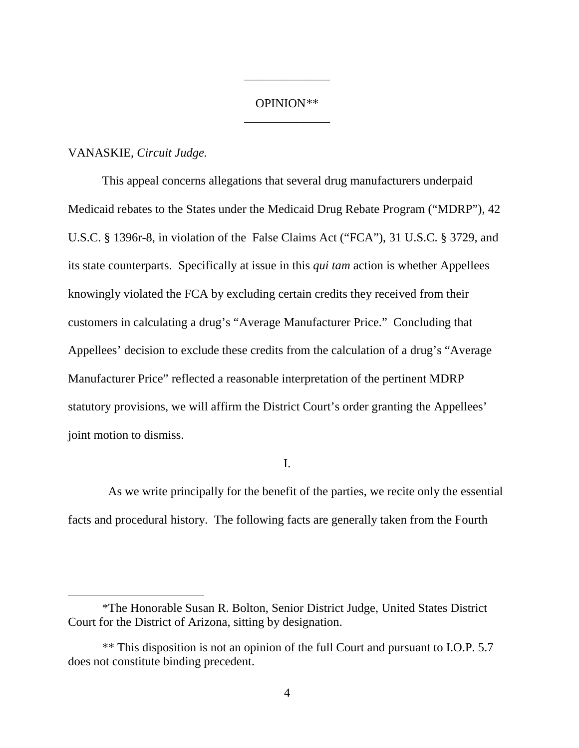# OPINION\*\* \_\_\_\_\_\_\_\_\_\_\_\_\_\_

\_\_\_\_\_\_\_\_\_\_\_\_\_\_

## VANASKIE, *Circuit Judge.*

 $\overline{a}$ 

This appeal concerns allegations that several drug manufacturers underpaid Medicaid rebates to the States under the Medicaid Drug Rebate Program ("MDRP"), 42 U.S.C. § 1396r-8, in violation of the False Claims Act ("FCA"), 31 U.S.C. § 3729, and its state counterparts. Specifically at issue in this *qui tam* action is whether Appellees knowingly violated the FCA by excluding certain credits they received from their customers in calculating a drug's "Average Manufacturer Price." Concluding that Appellees' decision to exclude these credits from the calculation of a drug's "Average Manufacturer Price" reflected a reasonable interpretation of the pertinent MDRP statutory provisions, we will affirm the District Court's order granting the Appellees' joint motion to dismiss.

I.

 As we write principally for the benefit of the parties, we recite only the essential facts and procedural history. The following facts are generally taken from the Fourth

<sup>\*</sup>The Honorable Susan R. Bolton, Senior District Judge, United States District Court for the District of Arizona, sitting by designation.

<sup>\*\*</sup> This disposition is not an opinion of the full Court and pursuant to I.O.P. 5.7 does not constitute binding precedent.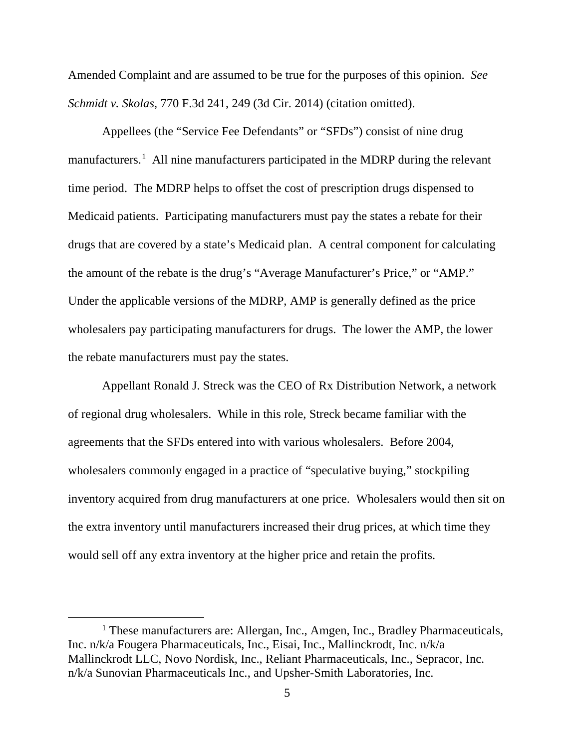Amended Complaint and are assumed to be true for the purposes of this opinion. *See Schmidt v. Skolas*, 770 F.3d 241, 249 (3d Cir. 2014) (citation omitted).

Appellees (the "Service Fee Defendants" or "SFDs") consist of nine drug manufacturers.<sup>1</sup> All nine manufacturers participated in the MDRP during the relevant time period. The MDRP helps to offset the cost of prescription drugs dispensed to Medicaid patients. Participating manufacturers must pay the states a rebate for their drugs that are covered by a state's Medicaid plan. A central component for calculating the amount of the rebate is the drug's "Average Manufacturer's Price," or "AMP." Under the applicable versions of the MDRP, AMP is generally defined as the price wholesalers pay participating manufacturers for drugs. The lower the AMP, the lower the rebate manufacturers must pay the states.

Appellant Ronald J. Streck was the CEO of Rx Distribution Network, a network of regional drug wholesalers. While in this role, Streck became familiar with the agreements that the SFDs entered into with various wholesalers. Before 2004, wholesalers commonly engaged in a practice of "speculative buying," stockpiling inventory acquired from drug manufacturers at one price. Wholesalers would then sit on the extra inventory until manufacturers increased their drug prices, at which time they would sell off any extra inventory at the higher price and retain the profits.

<sup>&</sup>lt;sup>1</sup> These manufacturers are: Allergan, Inc., Amgen, Inc., Bradley Pharmaceuticals, Inc. n/k/a Fougera Pharmaceuticals, Inc., Eisai, Inc., Mallinckrodt, Inc. n/k/a Mallinckrodt LLC, Novo Nordisk, Inc., Reliant Pharmaceuticals, Inc., Sepracor, Inc. n/k/a Sunovian Pharmaceuticals Inc., and Upsher-Smith Laboratories, Inc.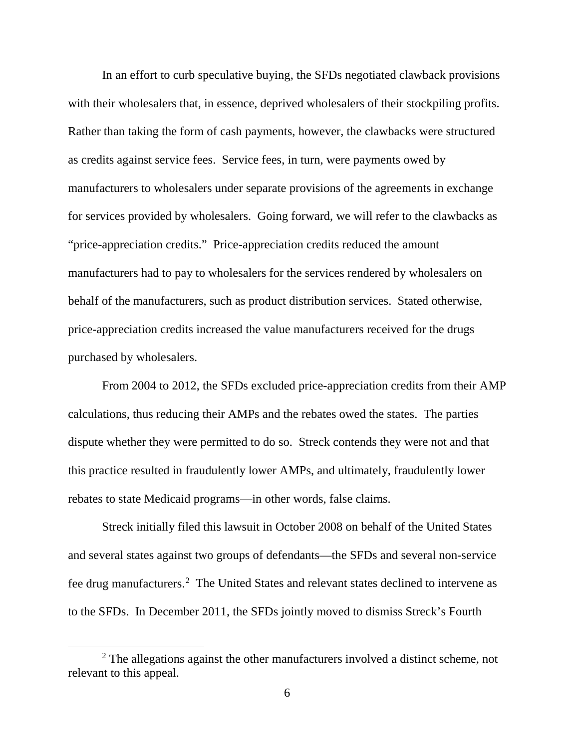In an effort to curb speculative buying, the SFDs negotiated clawback provisions with their wholesalers that, in essence, deprived wholesalers of their stockpiling profits. Rather than taking the form of cash payments, however, the clawbacks were structured as credits against service fees. Service fees, in turn, were payments owed by manufacturers to wholesalers under separate provisions of the agreements in exchange for services provided by wholesalers. Going forward, we will refer to the clawbacks as "price-appreciation credits." Price-appreciation credits reduced the amount manufacturers had to pay to wholesalers for the services rendered by wholesalers on behalf of the manufacturers, such as product distribution services. Stated otherwise, price-appreciation credits increased the value manufacturers received for the drugs purchased by wholesalers.

From 2004 to 2012, the SFDs excluded price-appreciation credits from their AMP calculations, thus reducing their AMPs and the rebates owed the states. The parties dispute whether they were permitted to do so. Streck contends they were not and that this practice resulted in fraudulently lower AMPs, and ultimately, fraudulently lower rebates to state Medicaid programs—in other words, false claims.

Streck initially filed this lawsuit in October 2008 on behalf of the United States and several states against two groups of defendants—the SFDs and several non-service fee drug manufacturers.<sup>2</sup> The United States and relevant states declined to intervene as to the SFDs. In December 2011, the SFDs jointly moved to dismiss Streck's Fourth

<sup>&</sup>lt;sup>2</sup> The allegations against the other manufacturers involved a distinct scheme, not relevant to this appeal.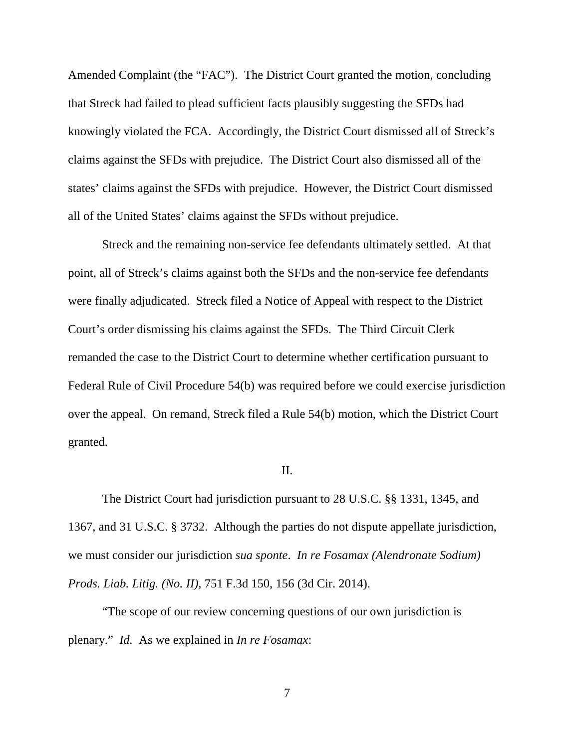Amended Complaint (the "FAC"). The District Court granted the motion, concluding that Streck had failed to plead sufficient facts plausibly suggesting the SFDs had knowingly violated the FCA. Accordingly, the District Court dismissed all of Streck's claims against the SFDs with prejudice. The District Court also dismissed all of the states' claims against the SFDs with prejudice. However, the District Court dismissed all of the United States' claims against the SFDs without prejudice.

Streck and the remaining non-service fee defendants ultimately settled. At that point, all of Streck's claims against both the SFDs and the non-service fee defendants were finally adjudicated. Streck filed a Notice of Appeal with respect to the District Court's order dismissing his claims against the SFDs. The Third Circuit Clerk remanded the case to the District Court to determine whether certification pursuant to Federal Rule of Civil Procedure 54(b) was required before we could exercise jurisdiction over the appeal. On remand, Streck filed a Rule 54(b) motion, which the District Court granted.

#### II.

The District Court had jurisdiction pursuant to 28 U.S.C. §§ 1331, 1345, and 1367, and 31 U.S.C. § 3732. Although the parties do not dispute appellate jurisdiction, we must consider our jurisdiction *sua sponte*. *In re Fosamax (Alendronate Sodium) Prods. Liab. Litig. (No. II)*, 751 F.3d 150, 156 (3d Cir. 2014).

"The scope of our review concerning questions of our own jurisdiction is plenary." *Id.* As we explained in *In re Fosamax*: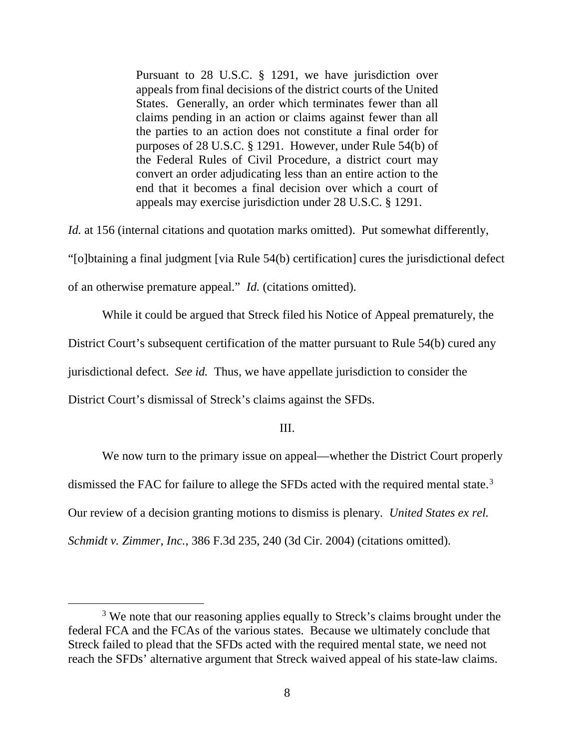Pursuant to 28 U.S.C. § 1291, we have jurisdiction over appeals from final decisions of the district courts of the United States. Generally, an order which terminates fewer than all claims pending in an action or claims against fewer than all the parties to an action does not constitute a final order for purposes of 28 U.S.C. § 1291. However, under Rule 54(b) of the Federal Rules of Civil Procedure, a district court may convert an order adjudicating less than an entire action to the end that it becomes a final decision over which a court of appeals may exercise jurisdiction under 28 U.S.C. § 1291.

*Id.* at 156 (internal citations and quotation marks omitted). Put somewhat differently, "[o]btaining a final judgment [via Rule 54(b) certification] cures the jurisdictional defect of an otherwise premature appeal." *Id.* (citations omitted).

While it could be argued that Streck filed his Notice of Appeal prematurely, the

District Court's subsequent certification of the matter pursuant to Rule 54(b) cured any

jurisdictional defect. *See id.* Thus, we have appellate jurisdiction to consider the

District Court's dismissal of Streck's claims against the SFDs.

III.

We now turn to the primary issue on appeal—whether the District Court properly

dismissed the FAC for failure to allege the SFDs acted with the required mental state.<sup>3</sup>

Our review of a decision granting motions to dismiss is plenary. *United States ex rel.* 

*Schmidt v. Zimmer, Inc.*, 386 F.3d 235, 240 (3d Cir. 2004) (citations omitted).

<sup>&</sup>lt;sup>3</sup> We note that our reasoning applies equally to Streck's claims brought under the federal FCA and the FCAs of the various states. Because we ultimately conclude that Streck failed to plead that the SFDs acted with the required mental state, we need not reach the SFDs' alternative argument that Streck waived appeal of his state-law claims.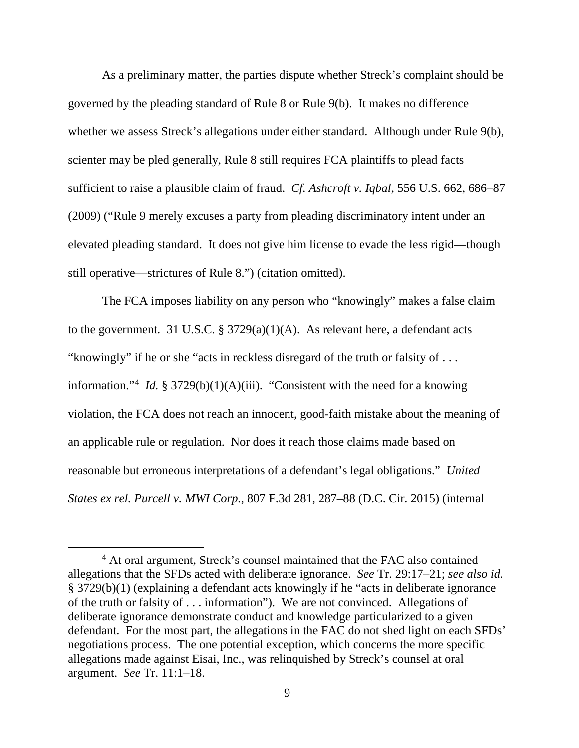As a preliminary matter, the parties dispute whether Streck's complaint should be governed by the pleading standard of Rule 8 or Rule 9(b). It makes no difference whether we assess Streck's allegations under either standard. Although under Rule 9(b), scienter may be pled generally, Rule 8 still requires FCA plaintiffs to plead facts sufficient to raise a plausible claim of fraud. *Cf. Ashcroft v. Iqbal*, 556 U.S. 662, 686–87 (2009) ("Rule 9 merely excuses a party from pleading discriminatory intent under an elevated pleading standard. It does not give him license to evade the less rigid—though still operative—strictures of Rule 8.") (citation omitted).

The FCA imposes liability on any person who "knowingly" makes a false claim to the government. 31 U.S.C.  $\S 3729(a)(1)(A)$ . As relevant here, a defendant acts "knowingly" if he or she "acts in reckless disregard of the truth or falsity of . . . information."<sup>4</sup> *Id.* § 3729(b)(1)(A)(iii). "Consistent with the need for a knowing violation, the FCA does not reach an innocent, good-faith mistake about the meaning of an applicable rule or regulation. Nor does it reach those claims made based on reasonable but erroneous interpretations of a defendant's legal obligations." *United States ex rel. Purcell v. MWI Corp.*, 807 F.3d 281, 287–88 (D.C. Cir. 2015) (internal

 <sup>4</sup> At oral argument, Streck's counsel maintained that the FAC also contained allegations that the SFDs acted with deliberate ignorance. *See* Tr. 29:17–21; *see also id.* § 3729(b)(1) (explaining a defendant acts knowingly if he "acts in deliberate ignorance of the truth or falsity of . . . information"). We are not convinced. Allegations of deliberate ignorance demonstrate conduct and knowledge particularized to a given defendant. For the most part, the allegations in the FAC do not shed light on each SFDs' negotiations process. The one potential exception, which concerns the more specific allegations made against Eisai, Inc., was relinquished by Streck's counsel at oral argument. *See* Tr. 11:1–18.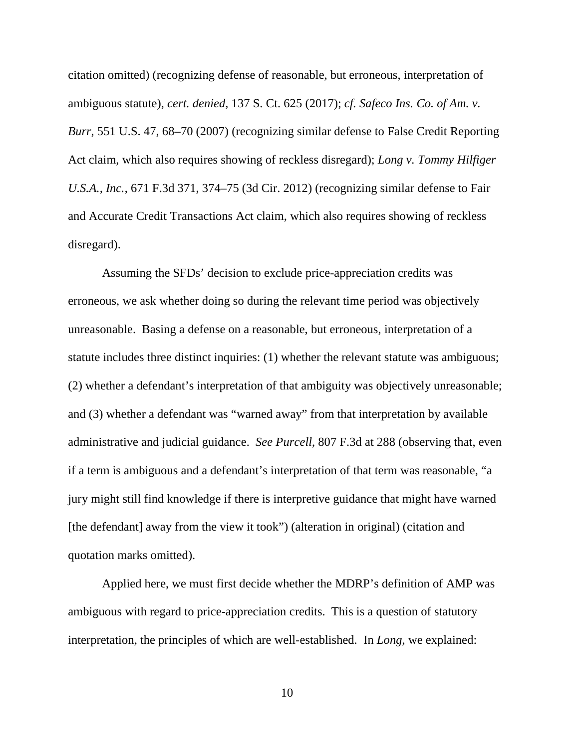citation omitted) (recognizing defense of reasonable, but erroneous, interpretation of ambiguous statute), *cert. denied*, 137 S. Ct. 625 (2017); *cf. Safeco Ins. Co. of Am. v. Burr*, 551 U.S. 47, 68–70 (2007) (recognizing similar defense to False Credit Reporting Act claim, which also requires showing of reckless disregard); *Long v. Tommy Hilfiger U.S.A., Inc.*, 671 F.3d 371, 374–75 (3d Cir. 2012) (recognizing similar defense to Fair and Accurate Credit Transactions Act claim, which also requires showing of reckless disregard).

Assuming the SFDs' decision to exclude price-appreciation credits was erroneous, we ask whether doing so during the relevant time period was objectively unreasonable. Basing a defense on a reasonable, but erroneous, interpretation of a statute includes three distinct inquiries: (1) whether the relevant statute was ambiguous; (2) whether a defendant's interpretation of that ambiguity was objectively unreasonable; and (3) whether a defendant was "warned away" from that interpretation by available administrative and judicial guidance. *See Purcell*, 807 F.3d at 288 (observing that, even if a term is ambiguous and a defendant's interpretation of that term was reasonable, "a jury might still find knowledge if there is interpretive guidance that might have warned [the defendant] away from the view it took") (alteration in original) (citation and quotation marks omitted).

Applied here, we must first decide whether the MDRP's definition of AMP was ambiguous with regard to price-appreciation credits. This is a question of statutory interpretation, the principles of which are well-established. In *Long*, we explained: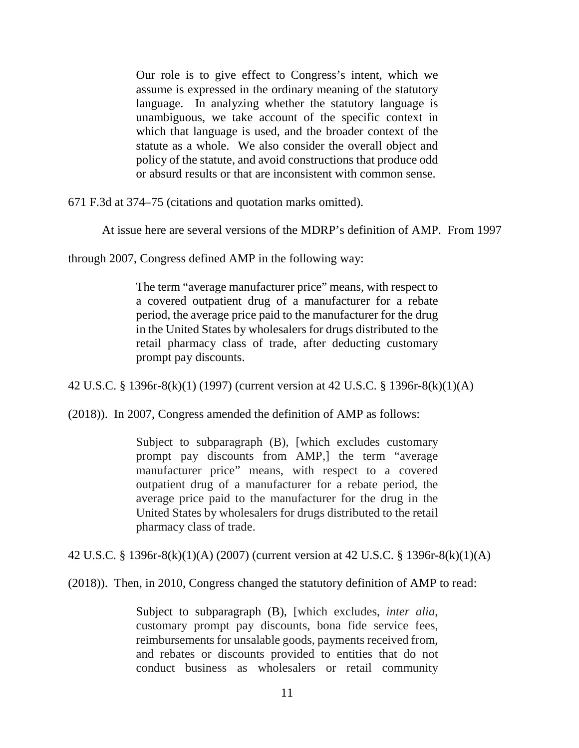Our role is to give effect to Congress's intent, which we assume is expressed in the ordinary meaning of the statutory language. In analyzing whether the statutory language is unambiguous, we take account of the specific context in which that language is used, and the broader context of the statute as a whole. We also consider the overall object and policy of the statute, and avoid constructions that produce odd or absurd results or that are inconsistent with common sense.

671 F.3d at 374–75 (citations and quotation marks omitted).

At issue here are several versions of the MDRP's definition of AMP. From 1997

through 2007, Congress defined AMP in the following way:

The term "average manufacturer price" means, with respect to a covered outpatient drug of a manufacturer for a rebate period, the average price paid to the manufacturer for the drug in the United States by wholesalers for drugs distributed to the retail pharmacy class of trade, after deducting customary prompt pay discounts.

42 U.S.C. § 1396r-8(k)(1) (1997) (current version at 42 U.S.C. § 1396r-8(k)(1)(A)

(2018)). In 2007, Congress amended the definition of AMP as follows:

Subject to subparagraph (B), [which excludes customary prompt pay discounts from AMP,] the term "average manufacturer price" means, with respect to a covered outpatient drug of a manufacturer for a rebate period, the average price paid to the manufacturer for the drug in the United States by wholesalers for drugs distributed to the retail pharmacy class of trade.

42 U.S.C. § 1396r-8(k)(1)(A) (2007) (current version at 42 U.S.C. § 1396r-8(k)(1)(A)

(2018)). Then, in 2010, Congress changed the statutory definition of AMP to read:

Subject to subparagraph (B), [which excludes, *inter alia*, customary prompt pay discounts, bona fide service fees, reimbursements for unsalable goods, payments received from, and rebates or discounts provided to entities that do not conduct business as wholesalers or retail community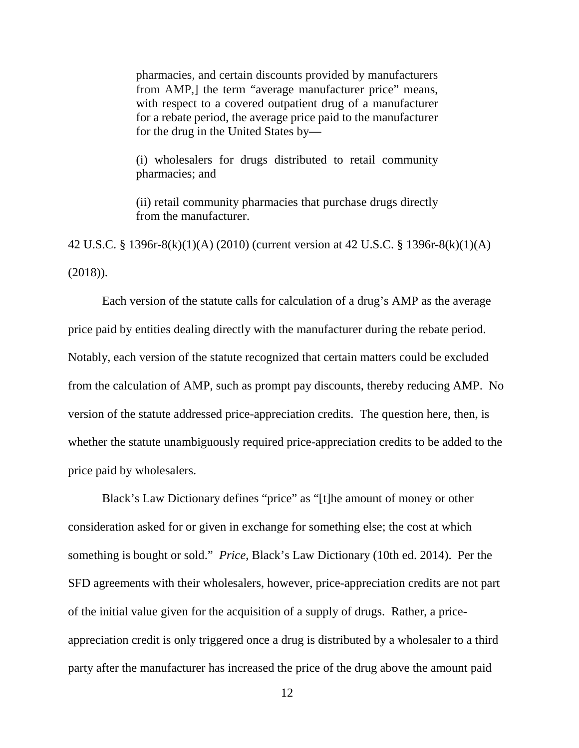pharmacies, and certain discounts provided by manufacturers from AMP,] the term "average manufacturer price" means, with respect to a covered outpatient drug of a manufacturer for a rebate period, the average price paid to the manufacturer for the drug in the United States by—

(i) wholesalers for drugs distributed to retail community pharmacies; and

(ii) retail community pharmacies that purchase drugs directly from the manufacturer.

42 U.S.C. § 1396r-8(k)(1)(A) (2010) (current version at 42 U.S.C. § 1396r-8(k)(1)(A) (2018)).

Each version of the statute calls for calculation of a drug's AMP as the average price paid by entities dealing directly with the manufacturer during the rebate period. Notably, each version of the statute recognized that certain matters could be excluded from the calculation of AMP, such as prompt pay discounts, thereby reducing AMP. No version of the statute addressed price-appreciation credits. The question here, then, is whether the statute unambiguously required price-appreciation credits to be added to the price paid by wholesalers.

Black's Law Dictionary defines "price" as "[t]he amount of money or other consideration asked for or given in exchange for something else; the cost at which something is bought or sold." *Price*, Black's Law Dictionary (10th ed. 2014). Per the SFD agreements with their wholesalers, however, price-appreciation credits are not part of the initial value given for the acquisition of a supply of drugs. Rather, a priceappreciation credit is only triggered once a drug is distributed by a wholesaler to a third party after the manufacturer has increased the price of the drug above the amount paid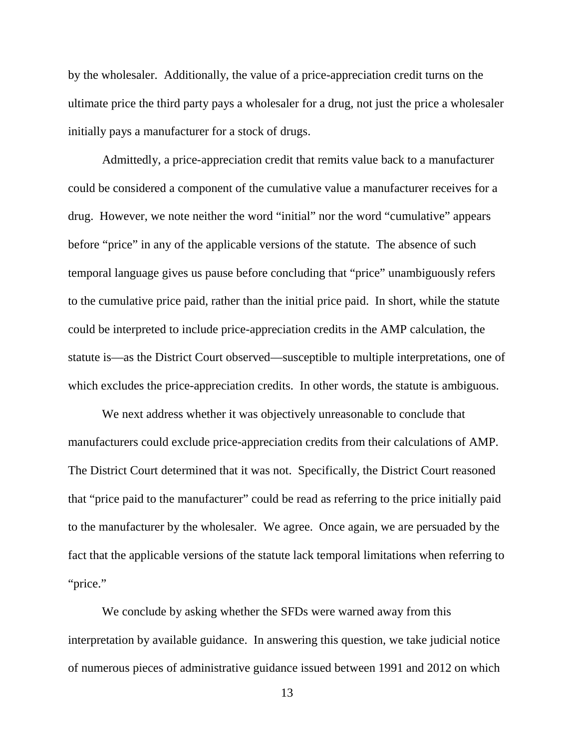by the wholesaler. Additionally, the value of a price-appreciation credit turns on the ultimate price the third party pays a wholesaler for a drug, not just the price a wholesaler initially pays a manufacturer for a stock of drugs.

Admittedly, a price-appreciation credit that remits value back to a manufacturer could be considered a component of the cumulative value a manufacturer receives for a drug. However, we note neither the word "initial" nor the word "cumulative" appears before "price" in any of the applicable versions of the statute. The absence of such temporal language gives us pause before concluding that "price" unambiguously refers to the cumulative price paid, rather than the initial price paid. In short, while the statute could be interpreted to include price-appreciation credits in the AMP calculation, the statute is—as the District Court observed—susceptible to multiple interpretations, one of which excludes the price-appreciation credits. In other words, the statute is ambiguous.

We next address whether it was objectively unreasonable to conclude that manufacturers could exclude price-appreciation credits from their calculations of AMP. The District Court determined that it was not. Specifically, the District Court reasoned that "price paid to the manufacturer" could be read as referring to the price initially paid to the manufacturer by the wholesaler. We agree. Once again, we are persuaded by the fact that the applicable versions of the statute lack temporal limitations when referring to "price."

We conclude by asking whether the SFDs were warned away from this interpretation by available guidance. In answering this question, we take judicial notice of numerous pieces of administrative guidance issued between 1991 and 2012 on which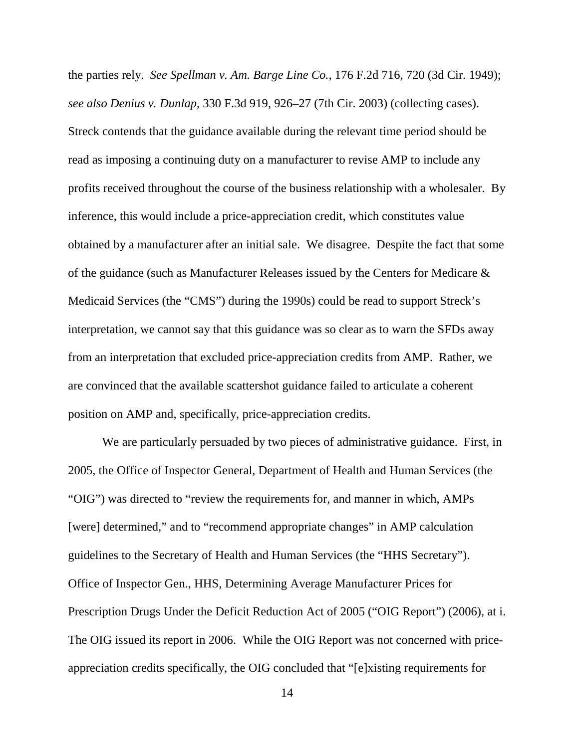the parties rely. *See Spellman v. Am. Barge Line Co.*, 176 F.2d 716, 720 (3d Cir. 1949); *see also Denius v. Dunlap*, 330 F.3d 919, 926–27 (7th Cir. 2003) (collecting cases). Streck contends that the guidance available during the relevant time period should be read as imposing a continuing duty on a manufacturer to revise AMP to include any profits received throughout the course of the business relationship with a wholesaler. By inference, this would include a price-appreciation credit, which constitutes value obtained by a manufacturer after an initial sale. We disagree. Despite the fact that some of the guidance (such as Manufacturer Releases issued by the Centers for Medicare & Medicaid Services (the "CMS") during the 1990s) could be read to support Streck's interpretation, we cannot say that this guidance was so clear as to warn the SFDs away from an interpretation that excluded price-appreciation credits from AMP. Rather, we are convinced that the available scattershot guidance failed to articulate a coherent position on AMP and, specifically, price-appreciation credits.

We are particularly persuaded by two pieces of administrative guidance. First, in 2005, the Office of Inspector General, Department of Health and Human Services (the "OIG") was directed to "review the requirements for, and manner in which, AMPs [were] determined," and to "recommend appropriate changes" in AMP calculation guidelines to the Secretary of Health and Human Services (the "HHS Secretary"). Office of Inspector Gen., HHS, Determining Average Manufacturer Prices for Prescription Drugs Under the Deficit Reduction Act of 2005 ("OIG Report") (2006), at i. The OIG issued its report in 2006. While the OIG Report was not concerned with priceappreciation credits specifically, the OIG concluded that "[e]xisting requirements for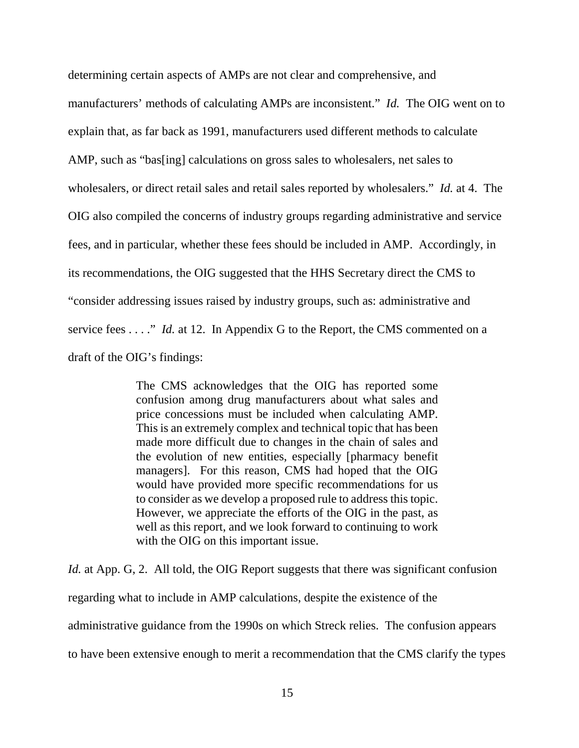determining certain aspects of AMPs are not clear and comprehensive, and manufacturers' methods of calculating AMPs are inconsistent." *Id.* The OIG went on to explain that, as far back as 1991, manufacturers used different methods to calculate AMP, such as "bas[ing] calculations on gross sales to wholesalers, net sales to wholesalers, or direct retail sales and retail sales reported by wholesalers." *Id.* at 4. The OIG also compiled the concerns of industry groups regarding administrative and service fees, and in particular, whether these fees should be included in AMP. Accordingly, in its recommendations, the OIG suggested that the HHS Secretary direct the CMS to "consider addressing issues raised by industry groups, such as: administrative and service fees . . . ." *Id.* at 12. In Appendix G to the Report, the CMS commented on a draft of the OIG's findings:

> The CMS acknowledges that the OIG has reported some confusion among drug manufacturers about what sales and price concessions must be included when calculating AMP. This is an extremely complex and technical topic that has been made more difficult due to changes in the chain of sales and the evolution of new entities, especially [pharmacy benefit managers]. For this reason, CMS had hoped that the OIG would have provided more specific recommendations for us to consider as we develop a proposed rule to address this topic. However, we appreciate the efforts of the OIG in the past, as well as this report, and we look forward to continuing to work with the OIG on this important issue.

*Id.* at App. G, 2. All told, the OIG Report suggests that there was significant confusion regarding what to include in AMP calculations, despite the existence of the administrative guidance from the 1990s on which Streck relies. The confusion appears to have been extensive enough to merit a recommendation that the CMS clarify the types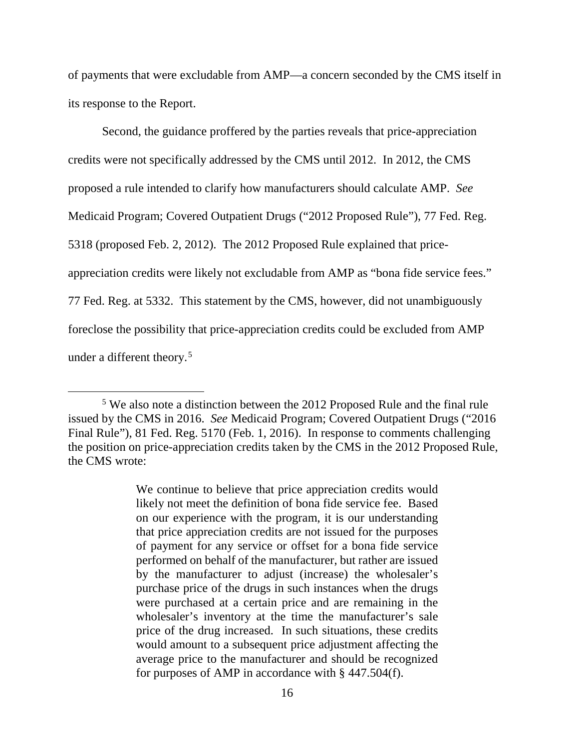of payments that were excludable from AMP—a concern seconded by the CMS itself in its response to the Report.

Second, the guidance proffered by the parties reveals that price-appreciation credits were not specifically addressed by the CMS until 2012. In 2012, the CMS proposed a rule intended to clarify how manufacturers should calculate AMP. *See*  Medicaid Program; Covered Outpatient Drugs ("2012 Proposed Rule"), 77 Fed. Reg. 5318 (proposed Feb. 2, 2012). The 2012 Proposed Rule explained that priceappreciation credits were likely not excludable from AMP as "bona fide service fees." 77 Fed. Reg. at 5332. This statement by the CMS, however, did not unambiguously foreclose the possibility that price-appreciation credits could be excluded from AMP under a different theory.<sup>5</sup>

 <sup>5</sup> We also note a distinction between the 2012 Proposed Rule and the final rule issued by the CMS in 2016. *See* Medicaid Program; Covered Outpatient Drugs ("2016 Final Rule"), 81 Fed. Reg. 5170 (Feb. 1, 2016). In response to comments challenging the position on price-appreciation credits taken by the CMS in the 2012 Proposed Rule, the CMS wrote:

We continue to believe that price appreciation credits would likely not meet the definition of bona fide service fee. Based on our experience with the program, it is our understanding that price appreciation credits are not issued for the purposes of payment for any service or offset for a bona fide service performed on behalf of the manufacturer, but rather are issued by the manufacturer to adjust (increase) the wholesaler's purchase price of the drugs in such instances when the drugs were purchased at a certain price and are remaining in the wholesaler's inventory at the time the manufacturer's sale price of the drug increased. In such situations, these credits would amount to a subsequent price adjustment affecting the average price to the manufacturer and should be recognized for purposes of AMP in accordance with § 447.504(f).